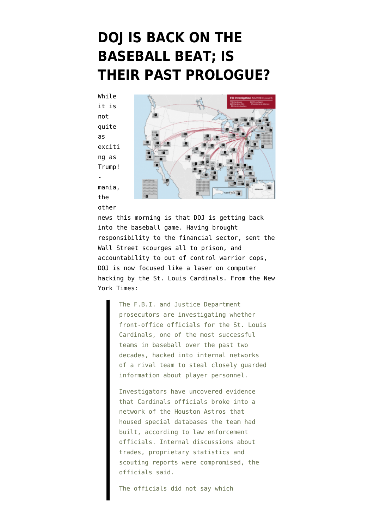## **[DOJ IS BACK ON THE](https://www.emptywheel.net/2015/06/16/doj-is-back-on-the-baseball-beat-is-past-prologue/) [BASEBALL BEAT; IS](https://www.emptywheel.net/2015/06/16/doj-is-back-on-the-baseball-beat-is-past-prologue/) [THEIR PAST PROLOGUE?](https://www.emptywheel.net/2015/06/16/doj-is-back-on-the-baseball-beat-is-past-prologue/)**

While it is not quite as exciti ng as Trump! mania, the other



news this morning is that DOJ is getting back into the baseball game. Having brought responsibility to the financial sector, sent the Wall Street scourges all to prison, and accountability to out of control warrior cops, DOJ is now focused like a laser on computer hacking by the St. Louis Cardinals. From [the New](http://www.nytimes.com/2015/06/17/sports/baseball/st-louis-cardinals-hack-astros-fbi.html) [York Times:](http://www.nytimes.com/2015/06/17/sports/baseball/st-louis-cardinals-hack-astros-fbi.html)

> The F.B.I. and Justice Department prosecutors are investigating whether front-office officials for the St. Louis Cardinals, one of the most successful teams in baseball over the past two decades, hacked into internal networks of a rival team to steal closely guarded information about player personnel.

Investigators have uncovered evidence that Cardinals officials broke into a network of the Houston Astros that housed special databases the team had built, according to law enforcement officials. Internal discussions about trades, proprietary statistics and scouting reports were compromised, the officials said.

The officials did not say which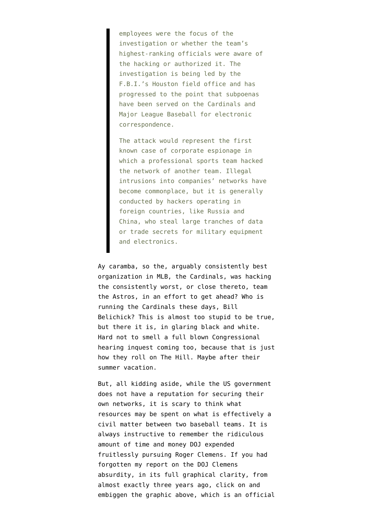employees were the focus of the investigation or whether the team's highest-ranking officials were aware of the hacking or authorized it. The investigation is being led by the F.B.I.'s Houston field office and has progressed to the point that subpoenas have been served on the Cardinals and Major League Baseball for electronic correspondence.

The attack would represent the first known case of corporate espionage in which a professional sports team hacked the network of another team. Illegal intrusions into companies' networks have become commonplace, but it is generally conducted by hackers operating in foreign countries, like Russia and China, who steal large tranches of data or trade secrets for military equipment and electronics.

Ay caramba, so the, arguably consistently best organization in MLB, the Cardinals, was hacking the consistently worst, or close thereto, team the Astros, in an effort to get ahead? Who is running the Cardinals these days, Bill Belichick? This is almost too stupid to be true, but there it is, in glaring black and white. Hard not to smell a full blown Congressional hearing inquest coming too, because that is just how they roll on The Hill. Maybe after their summer vacation.

But, all kidding aside, while the US government does not have a reputation for securing their own networks, it is scary to think what resources may be spent on what is effectively a civil matter between two baseball teams. It is always instructive to remember the ridiculous amount of time and money DOJ expended [fruitlessly pursuing Roger Clemens](https://www.emptywheel.net/tag/roger-clemens/). If you had forgotten my report on the DOJ Clemens absurdity, in its full graphical clarity, from almost exactly three years ago, click on and embiggen the graphic above, which is an official